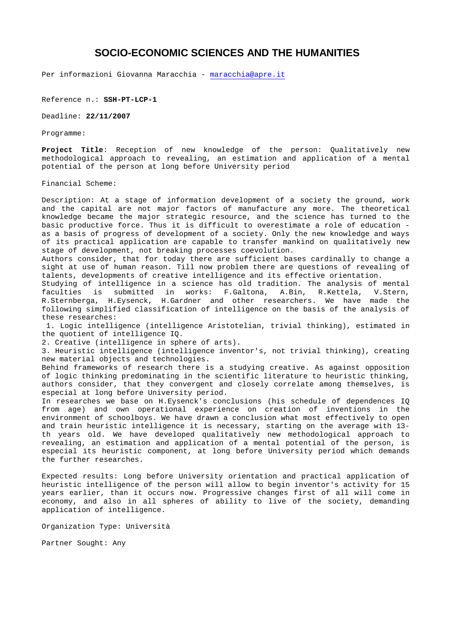## **SOCIO-ECONOMIC SCIENCES AND THE HUMANITIES**

Per informazioni Giovanna Maracchia - maracchia@apre.it

Reference n.: **SSH-PT-LCP-1** 

Deadline: **22/11/2007** 

Programme:

**Project Title**: Reception of new knowledge of the person: Qualitatively new methodological approach to revealing, an estimation and application of a mental potential of the person at long before University period

Financial Scheme:

Description: At a stage of information development of a society the ground, work and the capital are not major factors of manufacture any more. The theoretical knowledge became the major strategic resource, and the science has turned to the basic productive force. Thus it is difficult to overestimate a role of education as a basis of progress of development of a society. Only the new knowledge and ways of its practical application are capable to transfer mankind on qualitatively new stage of development, not breaking processes coevolution.

Authors consider, that for today there are sufficient bases cardinally to change a sight at use of human reason. Till now problem there are questions of revealing of talents, developments of creative intelligence and its effective orientation.

Studying of intelligence in a science has old tradition. The analysis of mental faculties is submitted in works: F.Galtona, A.Bin, R.Kettela, V.Stern, R.Sternberga, H.Eysenck, H.Gardner and other researchers. We have made the following simplified classification of intelligence on the basis of the analysis of these researches:

 1. Logic intelligence (intelligence Aristotelian, trivial thinking), estimated in the quotient of intelligence IQ.

2. Creative (intelligence in sphere of arts).

3. Heuristic intelligence (intelligence inventor's, not trivial thinking), creating new material objects and technologies.

Behind frameworks of research there is a studying creative. As against opposition of logic thinking predominating in the scientific literature to heuristic thinking, authors consider, that they convergent and closely correlate among themselves, is especial at long before University period.

In researches we base on H.Eysenck's conclusions (his schedule of dependences IQ from age) and own operational experience on creation of inventions in the environment of schoolboys. We have drawn a conclusion what most effectively to open and train heuristic intelligence it is necessary, starting on the average with 13 th years old. We have developed qualitatively new methodological approach to revealing, an estimation and application of a mental potential of the person, is especial its heuristic component, at long before University period which demands the further researches.

Expected results: Long before University orientation and practical application of heuristic intelligence of the person will allow to begin inventor's activity for 15 years earlier, than it occurs now. Progressive changes first of all will come in economy, and also in all spheres of ability to live of the society, demanding application of intelligence.

Organization Type: Università

Partner Sought: Any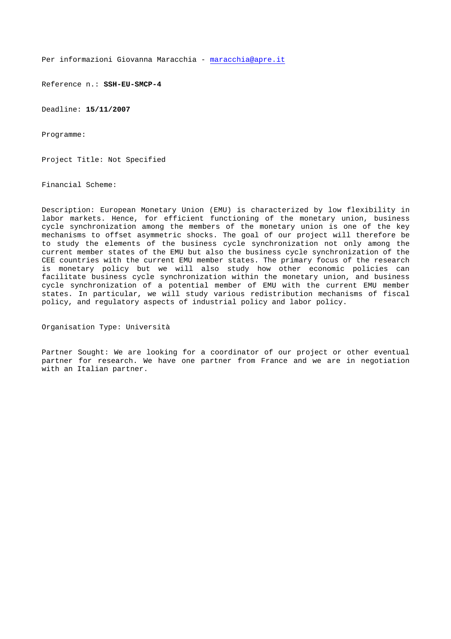Reference n.: **SSH-EU-SMCP-4** 

Deadline: **15/11/2007**

Programme:

Project Title: Not Specified

Financial Scheme:

Description: European Monetary Union (EMU) is characterized by low flexibility in labor markets. Hence, for efficient functioning of the monetary union, business cycle synchronization among the members of the monetary union is one of the key mechanisms to offset asymmetric shocks. The goal of our project will therefore be to study the elements of the business cycle synchronization not only among the current member states of the EMU but also the business cycle synchronization of the CEE countries with the current EMU member states. The primary focus of the research is monetary policy but we will also study how other economic policies can facilitate business cycle synchronization within the monetary union, and business cycle synchronization of a potential member of EMU with the current EMU member states. In particular, we will study various redistribution mechanisms of fiscal policy, and regulatory aspects of industrial policy and labor policy.

Organisation Type: Università

Partner Sought: We are looking for a coordinator of our project or other eventual partner for research. We have one partner from France and we are in negotiation with an Italian partner.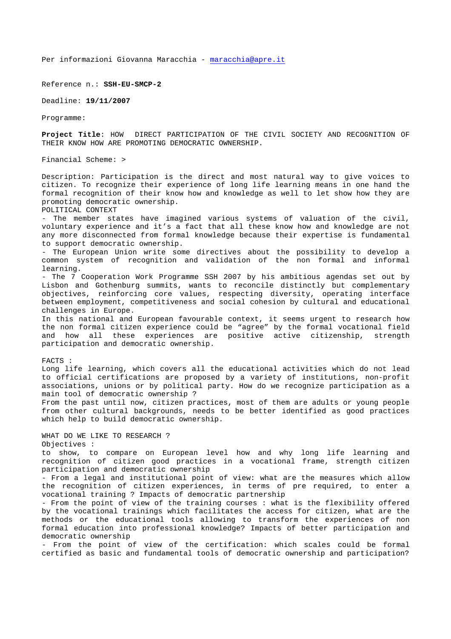Reference n.: **SSH-EU-SMCP-2**

Deadline: **19/11/2007**

Programme:

**Project Title**: HOW DIRECT PARTICIPATION OF THE CIVIL SOCIETY AND RECOGNITION OF THEIR KNOW HOW ARE PROMOTING DEMOCRATIC OWNERSHIP.

Financial Scheme: >

Description: Participation is the direct and most natural way to give voices to citizen. To recognize their experience of long life learning means in one hand the formal recognition of their know how and knowledge as well to let show how they are promoting democratic ownership.

POLITICAL CONTEXT

- The member states have imagined various systems of valuation of the civil, voluntary experience and it's a fact that all these know how and knowledge are not any more disconnected from formal knowledge because their expertise is fundamental to support democratic ownership.

- The European Union write some directives about the possibility to develop a common system of recognition and validation of the non formal and informal learning.

- The 7 Cooperation Work Programme SSH 2007 by his ambitious agendas set out by Lisbon and Gothenburg summits, wants to reconcile distinctly but complementary objectives, reinforcing core values, respecting diversity, operating interface between employment, competitiveness and social cohesion by cultural and educational challenges in Europe.

In this national and European favourable context, it seems urgent to research how the non formal citizen experience could be "agree" by the formal vocational field and how all these experiences are positive active citizenship, strength participation and democratic ownership.

#### FACTS :

Long life learning, which covers all the educational activities which do not lead to official certifications are proposed by a variety of institutions, non-profit associations, unions or by political party. How do we recognize participation as a main tool of democratic ownership ?

From the past until now, citizen practices, most of them are adults or young people from other cultural backgrounds, needs to be better identified as good practices which help to build democratic ownership.

WHAT DO WE LIKE TO RESEARCH ? Objectives :

to show, to compare on European level how and why long life learning and recognition of citizen good practices in a vocational frame, strength citizen participation and democratic ownership

- From a legal and institutional point of view: what are the measures which allow the recognition of citizen experiences, in terms of pre required, to enter a vocational training ? Impacts of democratic partnership

- From the point of view of the training courses : what is the flexibility offered by the vocational trainings which facilitates the access for citizen, what are the methods or the educational tools allowing to transform the experiences of non formal education into professional knowledge? Impacts of better participation and democratic ownership

- From the point of view of the certification: which scales could be formal certified as basic and fundamental tools of democratic ownership and participation?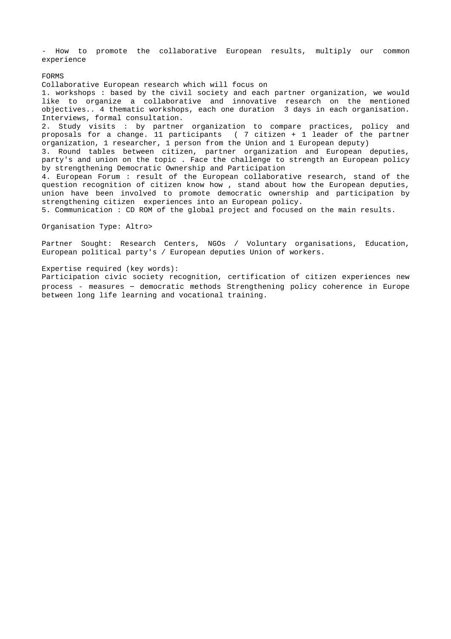- How to promote the collaborative European results, multiply our common experience

FORMS

Collaborative European research which will focus on 1. workshops : based by the civil society and each partner organization, we would like to organize a collaborative and innovative research on the mentioned objectives.. 4 thematic workshops, each one duration 3 days in each organisation. Interviews, formal consultation. 2. Study visits : by partner organization to compare practices, policy and proposals for a change. 11 participants ( 7 citizen + 1 leader of the partner organization, 1 researcher, 1 person from the Union and 1 European deputy) 3. Round tables between citizen, partner organization and European deputies, party's and union on the topic . Face the challenge to strength an European policy by strengthening Democratic Ownership and Participation 4. European Forum : result of the European collaborative research, stand of the question recognition of citizen know how , stand about how the European deputies, union have been involved to promote democratic ownership and participation by strengthening citizen experiences into an European policy. 5. Communication : CD ROM of the global project and focused on the main results. Organisation Type: Altro>

Partner Sought: Research Centers, NGOs / Voluntary organisations, Education, European political party's / European deputies Union of workers.

#### Expertise required (key words):

Participation civic society recognition, certification of citizen experiences new process - measures – democratic methods Strengthening policy coherence in Europe between long life learning and vocational training.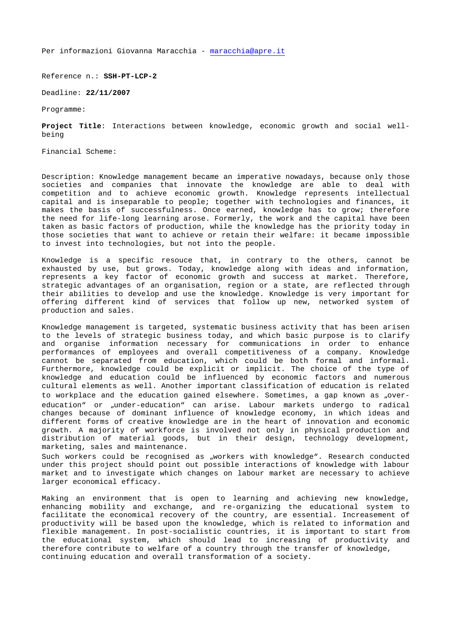Reference n.: **SSH-PT-LCP-2**

Deadline: **22/11/2007** 

Programme:

**Project Title**: Interactions between knowledge, economic growth and social wellbeing

Financial Scheme:

Description: Knowledge management became an imperative nowadays, because only those societies and companies that innovate the knowledge are able to deal with competition and to achieve economic growth. Knowledge represents intellectual capital and is inseparable to people; together with technologies and finances, it makes the basis of successfulness. Once earned, knowledge has to grow; therefore the need for life-long learning arose. Formerly, the work and the capital have been taken as basic factors of production, while the knowledge has the priority today in those societies that want to achieve or retain their welfare: it became impossible to invest into technologies, but not into the people.

Knowledge is a specific resouce that, in contrary to the others, cannot be exhausted by use, but grows. Today, knowledge along with ideas and information, represents a key factor of economic growth and success at market. Therefore, strategic advantages of an organisation, region or a state, are reflected through their abilities to develop and use the knowledge. Knowledge is very important for offering different kind of services that follow up new, networked system of production and sales.

Knowledge management is targeted, systematic business activity that has been arisen to the levels of strategic business today, and which basic purpose is to clarify and organise information necessary for communications in order to enhance performances of employees and overall competitiveness of a company. Knowledge cannot be separated from education, which could be both formal and informal. Furthermore, knowledge could be explicit or implicit. The choice of the type of knowledge and education could be influenced by economic factors and numerous cultural elements as well. Another important classification of education is related to workplace and the education gained elsewhere. Sometimes, a gap known as "overeducation" or "under-education" can arise. Labour markets undergo to radical changes because of dominant influence of knowledge economy, in which ideas and different forms of creative knowledge are in the heart of innovation and economic growth. A majority of workforce is involved not only in physical production and distribution of material goods, but in their design, technology development, marketing, sales and maintenance.

Such workers could be recognised as "workers with knowledge". Research conducted under this project should point out possible interactions of knowledge with labour market and to investigate which changes on labour market are necessary to achieve larger economical efficacy.

Making an environment that is open to learning and achieving new knowledge, enhancing mobility and exchange, and re-organizing the educational system to facilitate the economical recovery of the country, are essential. Increasement of productivity will be based upon the knowledge, which is related to information and flexible management. In post-socialistic countries, it is important to start from the educational system, which should lead to increasing of productivity and therefore contribute to welfare of a country through the transfer of knowledge, continuing education and overall transformation of a society.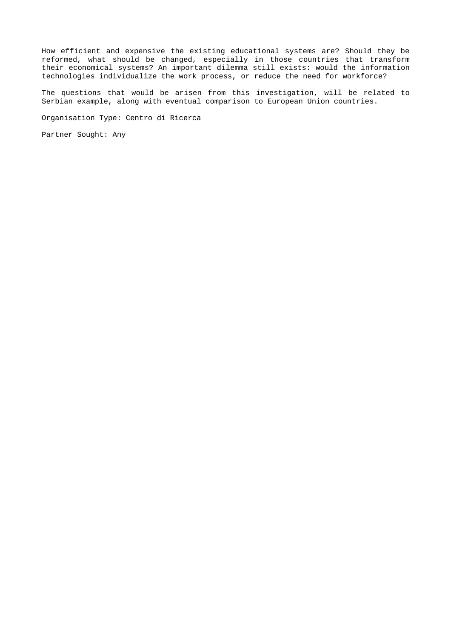How efficient and expensive the existing educational systems are? Should they be reformed, what should be changed, especially in those countries that transform their economical systems? An important dilemma still exists: would the information technologies individualize the work process, or reduce the need for workforce?

The questions that would be arisen from this investigation, will be related to Serbian example, along with eventual comparison to European Union countries.

Organisation Type: Centro di Ricerca

Partner Sought: Any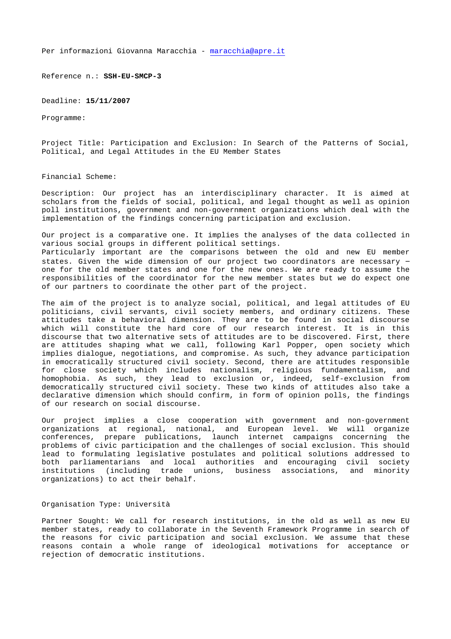Reference n.: **SSH-EU-SMCP-3**

Deadline: **15/11/2007**

Programme:

Project Title: Participation and Exclusion: In Search of the Patterns of Social, Political, and Legal Attitudes in the EU Member States

Financial Scheme:

Description: Our project has an interdisciplinary character. It is aimed at scholars from the fields of social, political, and legal thought as well as opinion poll institutions, government and non-government organizations which deal with the implementation of the findings concerning participation and exclusion.

Our project is a comparative one. It implies the analyses of the data collected in various social groups in different political settings.

Particularly important are the comparisons between the old and new EU member states. Given the wide dimension of our project two coordinators are necessary – one for the old member states and one for the new ones. We are ready to assume the responsibilities of the coordinator for the new member states but we do expect one of our partners to coordinate the other part of the project.

The aim of the project is to analyze social, political, and legal attitudes of EU politicians, civil servants, civil society members, and ordinary citizens. These attitudes take a behavioral dimension. They are to be found in social discourse which will constitute the hard core of our research interest. It is in this discourse that two alternative sets of attitudes are to be discovered. First, there are attitudes shaping what we call, following Karl Popper, open society which implies dialogue, negotiations, and compromise. As such, they advance participation in emocratically structured civil society. Second, there are attitudes responsible for close society which includes nationalism, religious fundamentalism, and homophobia. As such, they lead to exclusion or, indeed, self-exclusion from democratically structured civil society. These two kinds of attitudes also take a declarative dimension which should confirm, in form of opinion polls, the findings of our research on social discourse.

Our project implies a close cooperation with government and non-government organizations at regional, national, and European level. We will organize conferences, prepare publications, launch internet campaigns concerning the problems of civic participation and the challenges of social exclusion. This should lead to formulating legislative postulates and political solutions addressed to both parliamentarians and local authorities and encouraging civil society institutions (including trade unions, business associations, and minority organizations) to act their behalf.

#### Organisation Type: Università

Partner Sought: We call for research institutions, in the old as well as new EU member states, ready to collaborate in the Seventh Framework Programme in search of the reasons for civic participation and social exclusion. We assume that these reasons contain a whole range of ideological motivations for acceptance or rejection of democratic institutions.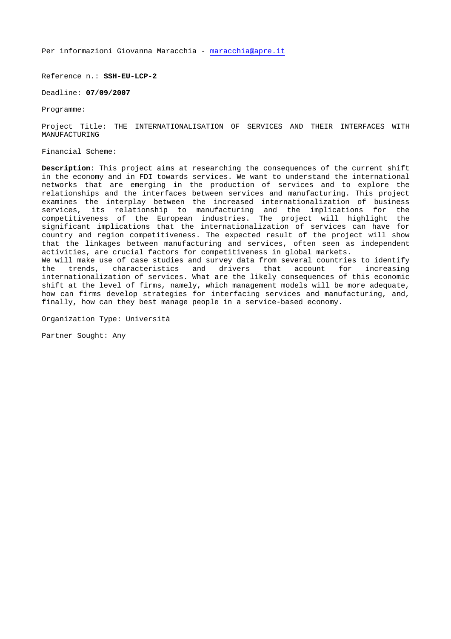Reference n.: **SSH-EU-LCP-2**

Deadline: **07/09/2007** 

Programme:

Project Title: THE INTERNATIONALISATION OF SERVICES AND THEIR INTERFACES WITH MANUFACTURING

Financial Scheme:

**Description**: This project aims at researching the consequences of the current shift in the economy and in FDI towards services. We want to understand the international networks that are emerging in the production of services and to explore the relationships and the interfaces between services and manufacturing. This project examines the interplay between the increased internationalization of business services, its relationship to manufacturing and the implications for the competitiveness of the European industries. The project will highlight the significant implications that the internationalization of services can have for country and region competitiveness. The expected result of the project will show that the linkages between manufacturing and services, often seen as independent activities, are crucial factors for competitiveness in global markets. We will make use of case studies and survey data from several countries to identify<br>the trends, characteristics and drivers that account for increasing the trends, characteristics and drivers that account for increasing internationalization of services. What are the likely consequences of this economic shift at the level of firms, namely, which management models will be more adequate, how can firms develop strategies for interfacing services and manufacturing, and, finally, how can they best manage people in a service-based economy.

Organization Type: Università

Partner Sought: Any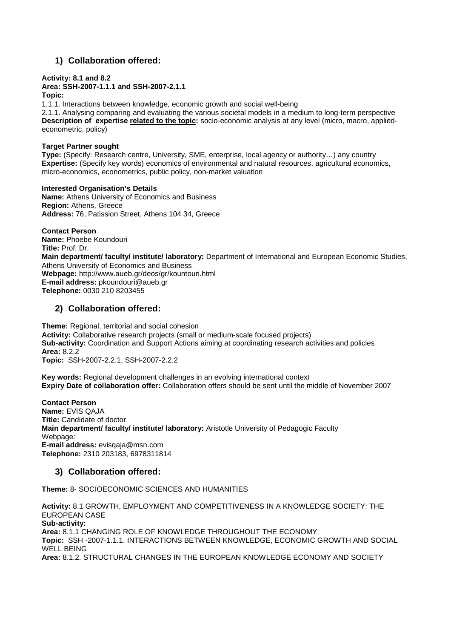## **1) Collaboration offered:**

## **Activity: 8.1 and 8.2**

#### **Area: SSH-2007-1.1.1 and SSH-2007-2.1.1 Topic:**

1.1.1. Interactions between knowledge, economic growth and social well-being

2.1.1. Analysing comparing and evaluating the various societal models in a medium to long-term perspective **Description of expertise related to the topic:** socio-economic analysis at any level (micro, macro, appliedeconometric, policy)

## **Target Partner sought**

**Type:** (Specify: Research centre, University, SME, enterprise, local agency or authority…) any country **Expertise:** (Specify key words) economics of environmental and natural resources, agricultural economics, micro-economics, econometrics, public policy, non-market valuation

**Interested Organisation's Details Name:** Athens University of Economics and Business **Region:** Athens, Greece **Address:** 76, Patission Street, Athens 104 34, Greece

**Contact Person Name:** Phoebe Koundouri **Title:** Prof. Dr. **Main department/ faculty/ institute/ laboratory:** Department of International and European Economic Studies, Athens University of Economics and Business **Webpage:** http://www.aueb.gr/deos/gr/kountouri.html **E-mail address:** pkoundouri@aueb.gr **Telephone:** 0030 210 8203455

## **2) Collaboration offered:**

**Theme:** Regional, territorial and social cohesion **Activity:** Collaborative research projects (small or medium-scale focused projects) **Sub-activity:** Coordination and Support Actions aiming at coordinating research activities and policies **Area:** 8.2.2 **Topic:** SSH-2007-2.2.1, SSH-2007-2.2.2

**Key words:** Regional development challenges in an evolving international context **Expiry Date of collaboration offer:** Collaboration offers should be sent until the middle of November 2007

**Contact Person Name:** EVIS QAJA **Title:** Candidate of doctor **Main department/ faculty/ institute/ laboratory:** Aristotle University of Pedagogic Faculty Webpage: **E-mail address:** evisqaja@msn.com **Telephone:** 2310 203183, 6978311814

## **3) Collaboration offered:**

**Theme:** 8- SOCIOECONOMIC SCIENCES AND HUMANITIES

**Activity:** 8.1 GROWTH, EMPLOYMENT AND COMPETITIVENESS IN A KNOWLEDGE SOCIETY: THE EUROPEAN CASE **Sub-activity: Area:** 8.1.1 CHANGING ROLE OF KNOWLEDGE THROUGHOUT THE ECONOMY **Topic:** SSH -2007-1.1.1. INTERACTIONS BETWEEN KNOWLEDGE, ECONOMIC GROWTH AND SOCIAL WELL BEING **Area:** 8.1.2. STRUCTURAL CHANGES IN THE EUROPEAN KNOWLEDGE ECONOMY AND SOCIETY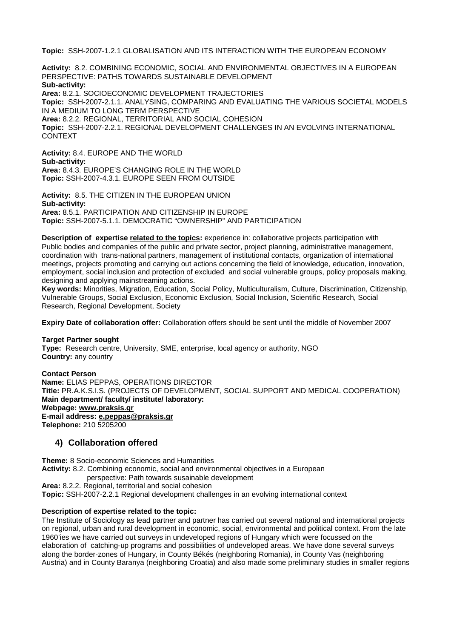**Topic:** SSH-2007-1.2.1 GLOBALISATION AND ITS INTERACTION WITH THE EUROPEAN ECONOMY

**Activity:** 8.2. COMBINING ECONOMIC, SOCIAL AND ENVIRONMENTAL OBJECTIVES IN A EUROPEAN PERSPECTIVE: PATHS TOWARDS SUSTAINABLE DEVELOPMENT **Sub-activity: Area:** 8.2.1. SOCIOECONOMIC DEVELOPMENT TRAJECTORIES **Topic:** SSH-2007-2.1.1. ANALYSING, COMPARING AND EVALUATING THE VARIOUS SOCIETAL MODELS IN A MEDIUM TO LONG TERM PERSPECTIVE **Area:** 8.2.2. REGIONAL, TERRITORIAL AND SOCIAL COHESION **Topic:** SSH-2007-2.2.1. REGIONAL DEVELOPMENT CHALLENGES IN AN EVOLVING INTERNATIONAL CONTEXT

**Activity:** 8.4. EUROPE AND THE WORLD **Sub-activity: Area:** 8.4.3. EUROPE'S CHANGING ROLE IN THE WORLD **Topic:** SSH-2007-4.3.1. EUROPE SEEN FROM OUTSIDE

**Activity:** 8.5. THE CITIZEN IN THE EUROPEAN UNION **Sub-activity: Area:** 8.5.1. PARTICIPATION AND CITIZENSHIP IN EUROPE **Topic:** SSH-2007-5.1.1. DEMOCRATIC "OWNERSHIP" AND PARTICIPATION

**Description of expertise related to the topics:** experience in: collaborative projects participation with Public bodies and companies of the public and private sector, project planning, administrative management, coordination with trans-national partners, management of institutional contacts, organization of international meetings, projects promoting and carrying out actions concerning the field of knowledge, education, innovation, employment, social inclusion and protection of excluded and social vulnerable groups, policy proposals making, designing and applying mainstreaming actions.

**Key words:** Minorities, Migration, Education, Social Policy, Multiculturalism, Culture, Discrimination, Citizenship, Vulnerable Groups, Social Exclusion, Economic Exclusion, Social Inclusion, Scientific Research, Social Research, Regional Development, Society

**Expiry Date of collaboration offer:** Collaboration offers should be sent until the middle of November 2007

#### **Target Partner sought**

**Type:** Research centre, University, SME, enterprise, local agency or authority, NGO **Country:** any country

**Contact Person Name:** ELIAS PEPPAS, OPERATIONS DIRECTOR **Title:** PR.A.K.S.I.S. (PROJECTS OF DEVELOPMENT, SOCIAL SUPPORT AND MEDICAL COOPERATION) **Main department/ faculty/ institute/ laboratory: Webpage: www.praksis.gr E-mail address: e.peppas@praksis.gr Telephone:** 210 5205200

## **4) Collaboration offered**

**Theme:** 8 Socio-economic Sciences and Humanities **Activity:** 8.2. Combining economic, social and environmental objectives in a European perspective: Path towards susainable development

**Area:** 8.2.2. Regional, territorial and social cohesion **Topic:** SSH-2007-2.2.1 Regional development challenges in an evolving international context

#### **Description of expertise related to the topic:**

The Institute of Sociology as lead partner and partner has carried out several national and international projects on regional, urban and rural development in economic, social, environmental and political context. From the late 1960'ies we have carried out surveys in undeveloped regions of Hungary which were focussed on the elaboration of catching-up programs and possibilities of undeveloped areas. We have done several surveys along the border-zones of Hungary, in County Békés (neighboring Romania), in County Vas (neighboring Austria) and in County Baranya (neighboring Croatia) and also made some preliminary studies in smaller regions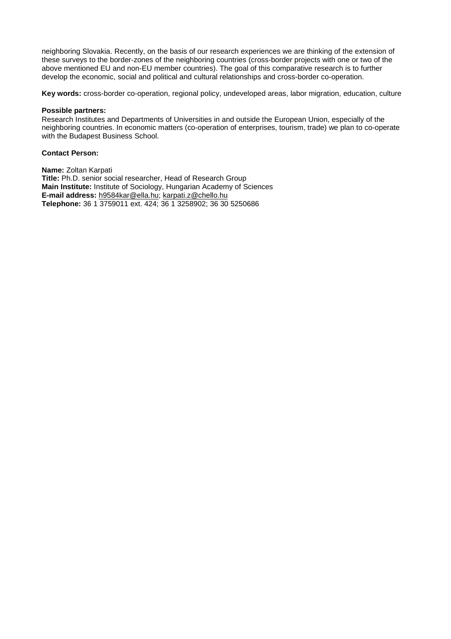neighboring Slovakia. Recently, on the basis of our research experiences we are thinking of the extension of these surveys to the border-zones of the neighboring countries (cross-border projects with one or two of the above mentioned EU and non-EU member countries). The goal of this comparative research is to further develop the economic, social and political and cultural relationships and cross-border co-operation.

**Key words:** cross-border co-operation, regional policy, undeveloped areas, labor migration, education, culture

#### **Possible partners:**

Research Institutes and Departments of Universities in and outside the European Union, especially of the neighboring countries. In economic matters (co-operation of enterprises, tourism, trade) we plan to co-operate with the Budapest Business School.

#### **Contact Person:**

**Name:** Zoltan Karpati **Title:** Ph.D. senior social researcher, Head of Research Group **Main Institute:** Institute of Sociology, Hungarian Academy of Sciences **E-mail address:** h9584kar@ella.hu; karpati.z@chello.hu **Telephone:** 36 1 3759011 ext. 424; 36 1 3258902; 36 30 5250686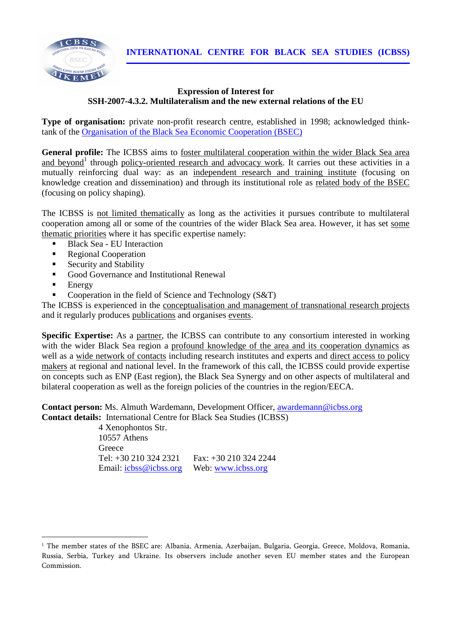**INTERNATIONAL CENTRE FOR BLACK SEA STUDIES (ICBSS)**



## **Expression of Interest for SSH-2007-4.3.2. Multilateralism and the new external relations of the EU**

**Type of organisation:** private non-profit research centre, established in 1998; acknowledged thinktank of the Organisation of the Black Sea Economic Cooperation (BSEC)

General profile: The ICBSS aims to foster multilateral cooperation within the wider Black Sea area and beyond<sup>1</sup> through policy-oriented research and advocacy work. It carries out these activities in a mutually reinforcing dual way: as an independent research and training institute (focusing on knowledge creation and dissemination) and through its institutional role as related body of the BSEC (focusing on policy shaping).

The ICBSS is not limited thematically as long as the activities it pursues contribute to multilateral cooperation among all or some of the countries of the wider Black Sea area. However, it has set some thematic priorities where it has specific expertise namely:

- Black Sea EU Interaction
- Regional Cooperation
- Security and Stability
- Good Governance and Institutional Renewal
- Energy

-

Cooperation in the field of Science and Technology (S&T)

The ICBSS is experienced in the conceptualisation and management of transnational research projects and it regularly produces publications and organises events.

**Specific Expertise:** As a partner, the ICBSS can contribute to any consortium interested in working with the wider Black Sea region a profound knowledge of the area and its cooperation dynamics as well as a wide network of contacts including research institutes and experts and direct access to policy makers at regional and national level. In the framework of this call, the ICBSS could provide expertise on concepts such as ENP (East region), the Black Sea Synergy and on other aspects of multilateral and bilateral cooperation as well as the foreign policies of the countries in the region/EECA.

**Contact person:** Ms. Almuth Wardemann, Development Officer, awardemann@icbss.org **Contact details:** International Centre for Black Sea Studies (ICBSS)

4 Xenophontos Str. 10557 Athens **Greece** Tel: +30 210 324 2321 Fax: +30 210 324 2244 Email: icbss@icbss.org Web: www.icbss.org

<sup>&</sup>lt;sup>1</sup> The member states of the BSEC are: Albania, Armenia, Azerbaijan, Bulgaria, Georgia, Greece, Moldova, Romania, Russia, Serbia, Turkey and Ukraine. Its observers include another seven EU member states and the European Commission.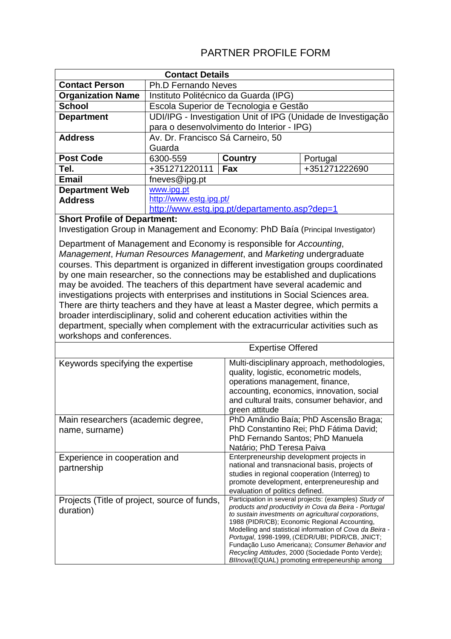# PARTNER PROFILE FORM

| <b>Contact Details</b>                                                              |                                                |                                                                                                    |                                                                                                               |  |
|-------------------------------------------------------------------------------------|------------------------------------------------|----------------------------------------------------------------------------------------------------|---------------------------------------------------------------------------------------------------------------|--|
| <b>Contact Person</b>                                                               | <b>Ph.D Fernando Neves</b>                     |                                                                                                    |                                                                                                               |  |
| <b>Organization Name</b>                                                            |                                                | Instituto Politécnico da Guarda (IPG)                                                              |                                                                                                               |  |
| <b>School</b>                                                                       |                                                | Escola Superior de Tecnologia e Gestão                                                             |                                                                                                               |  |
| <b>Department</b>                                                                   |                                                |                                                                                                    | UDI/IPG - Investigation Unit of IPG (Unidade de Investigação                                                  |  |
|                                                                                     | para o desenvolvimento do Interior - IPG)      |                                                                                                    |                                                                                                               |  |
| <b>Address</b>                                                                      |                                                | Av. Dr. Francisco Sá Carneiro, 50                                                                  |                                                                                                               |  |
|                                                                                     | Guarda                                         |                                                                                                    |                                                                                                               |  |
| <b>Post Code</b>                                                                    | 6300-559                                       | <b>Country</b>                                                                                     | Portugal                                                                                                      |  |
| Tel.                                                                                | +351271220111                                  | Fax                                                                                                | +351271222690                                                                                                 |  |
| <b>Email</b>                                                                        | fneves@ipg.pt                                  |                                                                                                    |                                                                                                               |  |
| <b>Department Web</b>                                                               | www.ipg.pt                                     |                                                                                                    |                                                                                                               |  |
| <b>Address</b>                                                                      | http://www.estg.ipg.pt/                        |                                                                                                    |                                                                                                               |  |
|                                                                                     | http://www.estg.ipg.pt/departamento.asp?dep=1  |                                                                                                    |                                                                                                               |  |
| <b>Short Profile of Department:</b>                                                 |                                                |                                                                                                    |                                                                                                               |  |
| Investigation Group in Management and Economy: PhD Baía (Principal Investigator)    |                                                |                                                                                                    |                                                                                                               |  |
| Department of Management and Economy is responsible for Accounting,                 |                                                |                                                                                                    |                                                                                                               |  |
| Management, Human Resources Management, and Marketing undergraduate                 |                                                |                                                                                                    |                                                                                                               |  |
| courses. This department is organized in different investigation groups coordinated |                                                |                                                                                                    |                                                                                                               |  |
| by one main researcher, so the connections may be established and duplications      |                                                |                                                                                                    |                                                                                                               |  |
| may be avoided. The teachers of this department have several academic and           |                                                |                                                                                                    |                                                                                                               |  |
| investigations projects with enterprises and institutions in Social Sciences area.  |                                                |                                                                                                    |                                                                                                               |  |
| There are thirty teachers and they have at least a Master degree, which permits a   |                                                |                                                                                                    |                                                                                                               |  |
| broader interdisciplinary, solid and coherent education activities within the       |                                                |                                                                                                    |                                                                                                               |  |
| department, specially when complement with the extracurricular activities such as   |                                                |                                                                                                    |                                                                                                               |  |
| workshops and conferences.                                                          |                                                |                                                                                                    |                                                                                                               |  |
|                                                                                     |                                                | <b>Expertise Offered</b>                                                                           |                                                                                                               |  |
| Keywords specifying the expertise                                                   |                                                |                                                                                                    | Multi-disciplinary approach, methodologies,                                                                   |  |
|                                                                                     |                                                | quality, logistic, econometric models,                                                             |                                                                                                               |  |
|                                                                                     |                                                |                                                                                                    | operations management, finance,                                                                               |  |
|                                                                                     |                                                |                                                                                                    | accounting, economics, innovation, social<br>and cultural traits, consumer behavior, and                      |  |
|                                                                                     |                                                |                                                                                                    |                                                                                                               |  |
| Main researchers (academic degree,                                                  |                                                |                                                                                                    | green attitude<br>PhD Amândio Baía; PhD Ascensão Braga;                                                       |  |
| name, surname)                                                                      |                                                |                                                                                                    | PhD Constantino Rei; PhD Fátima David;                                                                        |  |
|                                                                                     |                                                | PhD Fernando Santos; PhD Manuela                                                                   |                                                                                                               |  |
|                                                                                     |                                                | Natário; PhD Teresa Paiva                                                                          |                                                                                                               |  |
| Experience in cooperation and                                                       |                                                |                                                                                                    | Enterpreneurship development projects in                                                                      |  |
| partnership                                                                         |                                                |                                                                                                    | national and transnacional basis, projects of                                                                 |  |
|                                                                                     |                                                |                                                                                                    | studies in regional cooperation (Interreg) to<br>promote development, enterpreneureship and                   |  |
|                                                                                     |                                                |                                                                                                    | evaluation of politics defined.                                                                               |  |
| Projects (Title of project, source of funds,                                        |                                                |                                                                                                    | Participation in several projects: (examples) Study of                                                        |  |
| duration)                                                                           |                                                |                                                                                                    | products and productivity in Cova da Beira - Portugal<br>to sustain investments on agricultural corporations, |  |
|                                                                                     |                                                | 1988 (PIDR/CB); Economic Regional Accounting,                                                      |                                                                                                               |  |
|                                                                                     |                                                | Modelling and statistical information of Cova da Beira -                                           |                                                                                                               |  |
|                                                                                     |                                                | Portugal, 1998-1999, (CEDR/UBI; PIDR/CB, JNICT;<br>Fundação Luso Americana); Consumer Behavior and |                                                                                                               |  |
|                                                                                     |                                                | Recycling Attitudes, 2000 (Sociedade Ponto Verde);                                                 |                                                                                                               |  |
|                                                                                     | BIInova(EQUAL) promoting entrepeneurship among |                                                                                                    |                                                                                                               |  |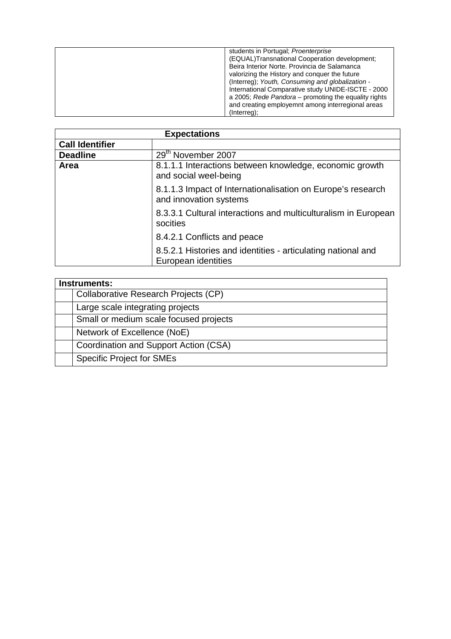| students in Portugal; Proenterprise<br>(EQUAL)Transnational Cooperation development;<br>Beira Interior Norte. Provincia de Salamanca<br>valorizing the History and conquer the future<br>(Interreg); Youth, Consuming and globalization -<br>International Comparative study UNIDE-ISCTE - 2000<br>a 2005; Rede Pandora – promoting the equality rights<br>and creating employemnt among interregional areas |
|--------------------------------------------------------------------------------------------------------------------------------------------------------------------------------------------------------------------------------------------------------------------------------------------------------------------------------------------------------------------------------------------------------------|
| (Interreg);                                                                                                                                                                                                                                                                                                                                                                                                  |

| <b>Expectations</b>    |                                                                                       |  |
|------------------------|---------------------------------------------------------------------------------------|--|
| <b>Call Identifier</b> |                                                                                       |  |
| <b>Deadline</b>        | 29th November 2007                                                                    |  |
| Area                   | 8.1.1.1 Interactions between knowledge, economic growth<br>and social weel-being      |  |
|                        | 8.1.1.3 Impact of Internationalisation on Europe's research<br>and innovation systems |  |
|                        | 8.3.3.1 Cultural interactions and multiculturalism in European<br>socities            |  |
|                        | 8.4.2.1 Conflicts and peace                                                           |  |
|                        | 8.5.2.1 Histories and identities - articulating national and<br>European identities   |  |

| Instruments: |                                        |  |
|--------------|----------------------------------------|--|
|              | Collaborative Research Projects (CP)   |  |
|              | Large scale integrating projects       |  |
|              | Small or medium scale focused projects |  |
|              | Network of Excellence (NoE)            |  |
|              | Coordination and Support Action (CSA)  |  |
|              | <b>Specific Project for SMEs</b>       |  |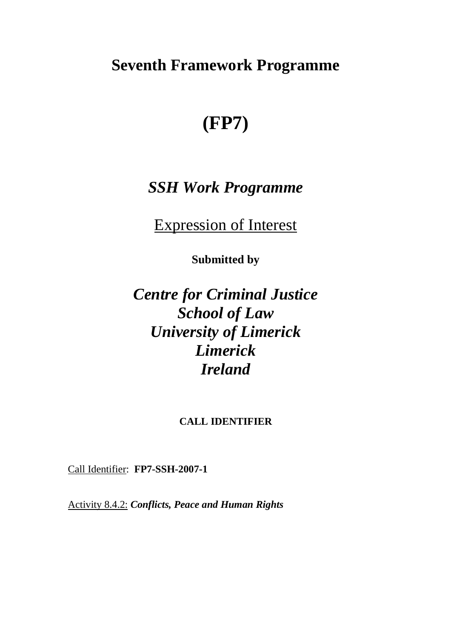# **Seventh Framework Programme**

# **(FP7)**

# *SSH Work Programme*

Expression of Interest

**Submitted by** 

*Centre for Criminal Justice School of Law University of Limerick Limerick Ireland* 

## **CALL IDENTIFIER**

Call Identifier: **FP7-SSH-2007-1** 

Activity 8.4.2: *Conflicts, Peace and Human Rights*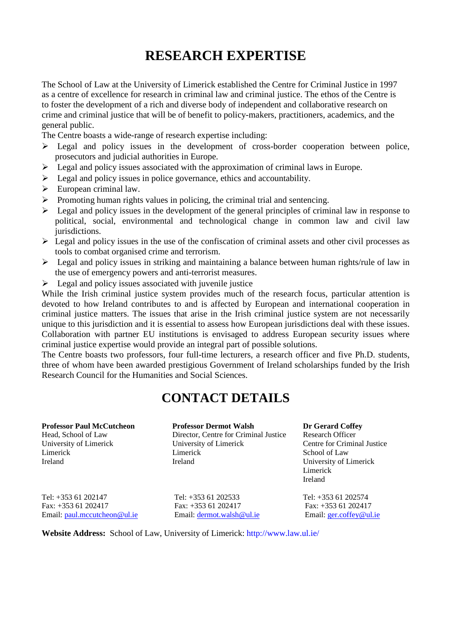# **RESEARCH EXPERTISE**

The School of Law at the University of Limerick established the Centre for Criminal Justice in 1997 as a centre of excellence for research in criminal law and criminal justice. The ethos of the Centre is to foster the development of a rich and diverse body of independent and collaborative research on crime and criminal justice that will be of benefit to policy-makers, practitioners, academics, and the general public.

The Centre boasts a wide-range of research expertise including:

- > Legal and policy issues in the development of cross-border cooperation between police, prosecutors and judicial authorities in Europe.
- > Legal and policy issues associated with the approximation of criminal laws in Europe.
- > Legal and policy issues in police governance, ethics and accountability.
- > European criminal law.
- > Promoting human rights values in policing, the criminal trial and sentencing.
- > Legal and policy issues in the development of the general principles of criminal law in response to political, social, environmental and technological change in common law and civil law jurisdictions.
- > Legal and policy issues in the use of the confiscation of criminal assets and other civil processes as tools to combat organised crime and terrorism.
- > Legal and policy issues in striking and maintaining a balance between human rights/rule of law in the use of emergency powers and anti-terrorist measures.
- > Legal and policy issues associated with juvenile justice

While the Irish criminal justice system provides much of the research focus, particular attention is devoted to how Ireland contributes to and is affected by European and international cooperation in criminal justice matters. The issues that arise in the Irish criminal justice system are not necessarily unique to this jurisdiction and it is essential to assess how European jurisdictions deal with these issues. Collaboration with partner EU institutions is envisaged to address European security issues where criminal justice expertise would provide an integral part of possible solutions.

The Centre boasts two professors, four full-time lecturers, a research officer and five Ph.D. students, three of whom have been awarded prestigious Government of Ireland scholarships funded by the Irish Research Council for the Humanities and Social Sciences.

# **CONTACT DETAILS**

**Professor Paul McCutcheon Professor Dermot Walsh Dr Gerard Coffey**  Head, School of Law Director, Centre for Criminal Justice Research Officer University of Limerick University of Limerick Centre for Criminal Justice Limerick Limerick School of Law Ireland Ireland University of Limerick

Limerick Ireland

Tel: +353 61 202147 Tel: +353 61 202533 Tel: +353 61 202574 Fax: +353 61 202417 Fax: +353 61 202417 Fax: +353 61 202417 Email: paul.mccutcheon@ul.ie Email: dermot.walsh@ul.ie Email: ger.coffey@ul.ie

**Website Address:** School of Law, University of Limerick: http://www.law.ul.ie/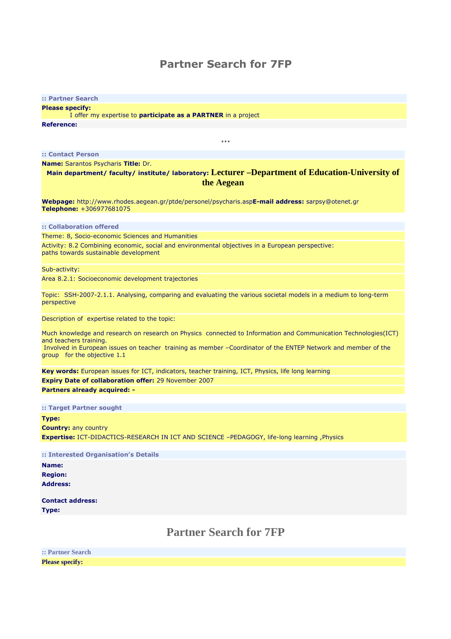# Partner Search for 7FP

| :: Partner Search                                                                                                                       |
|-----------------------------------------------------------------------------------------------------------------------------------------|
| <b>Please specify:</b>                                                                                                                  |
| I offer my expertise to <b>participate as a PARTNER</b> in a project                                                                    |
| <b>Reference:</b>                                                                                                                       |
|                                                                                                                                         |
| $\alpha \rightarrow \alpha$                                                                                                             |
| :: Contact Person                                                                                                                       |
| Name: Sarantos Psycharis Title: Dr.                                                                                                     |
| Main department/ faculty/ institute/ laboratory: Lecturer -Department of Education-University of                                        |
| the Aegean                                                                                                                              |
|                                                                                                                                         |
| Webpage: http://www.rhodes.aegean.gr/ptde/personel/psycharis.aspE-mail address: sarpsy@otenet.gr<br>Telephone: +306977681075            |
|                                                                                                                                         |
| :: Collaboration offered                                                                                                                |
| Theme: 8, Socio-economic Sciences and Humanities                                                                                        |
| Activity: 8.2 Combining economic, social and environmental objectives in a European perspective:                                        |
| paths towards sustainable development                                                                                                   |
| Sub-activity:                                                                                                                           |
| Area 8.2.1: Socioeconomic development trajectories                                                                                      |
|                                                                                                                                         |
| Topic: SSH-2007-2.1.1. Analysing, comparing and evaluating the various societal models in a medium to long-term                         |
| perspective                                                                                                                             |
| Description of expertise related to the topic:                                                                                          |
|                                                                                                                                         |
| Much knowledge and research on research on Physics connected to Information and Communication Technologies(ICT)                         |
| and teachers training.<br>Involved in European issues on teacher training as member -Coordinator of the ENTEP Network and member of the |
| group for the objective 1.1                                                                                                             |
|                                                                                                                                         |
| Key words: European issues for ICT, indicators, teacher training, ICT, Physics, life long learning                                      |
| <b>Expiry Date of collaboration offer: 29 November 2007</b>                                                                             |
| <b>Partners already acquired: -</b>                                                                                                     |
| :: Target Partner sought                                                                                                                |
|                                                                                                                                         |
| Type:                                                                                                                                   |
| <b>Country: any country</b><br>Expertise: ICT-DIDACTICS-RESEARCH IN ICT AND SCIENCE -PEDAGOGY, life-long learning , Physics             |
|                                                                                                                                         |
| :: Interested Organisation's Details                                                                                                    |
| Name:                                                                                                                                   |
| <b>Region:</b>                                                                                                                          |
| <b>Address:</b>                                                                                                                         |
|                                                                                                                                         |
| <b>Contact address:</b>                                                                                                                 |
| Type:                                                                                                                                   |
|                                                                                                                                         |
| <b>Partner Search for 7FP</b>                                                                                                           |
|                                                                                                                                         |
| :: Partner Search                                                                                                                       |
|                                                                                                                                         |

**Please specify:**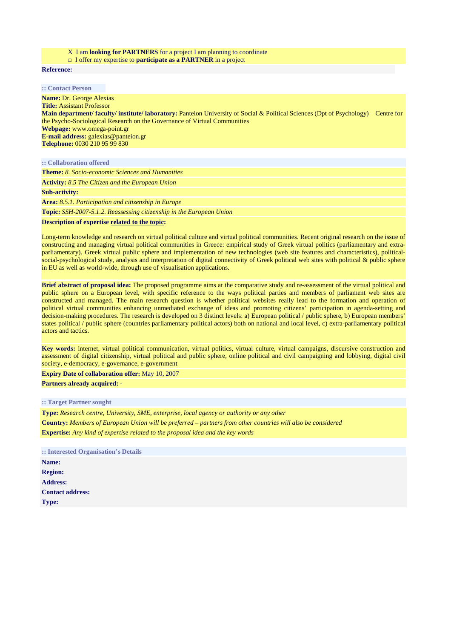#### X I am **looking for PARTNERS** for a project I am planning to coordinate

□I offer my expertise to **participate as a PARTNER** in a project

**Reference:**

**:: Contact Person**

**Name:** Dr. George Alexias **Title:** Assistant Professor **Main department/ faculty/ institute/ laboratory:** Panteion University of Social & Political Sciences (Dpt of Psychology) – Centre for the Psycho-Sociological Research on the Governance of Virtual Communities **Webpage:** www.omega-point.gr **E-mail address:** galexias@panteion.gr **Telephone:** 0030 210 95 99 830

**:: Collaboration offered**

**Theme:** *8. Socio-economic Sciences and Humanities*

**Activity:** *8.5 The Citizen and the European Union*

**Sub-activity:** 

**Area:** *8.5.1. Participation and citizenship in Europe*

**Topic:** *SSH-2007-5.1.2. Reassessing citizenship in the European Union*

**Description of expertise related to the topic:**

Long-term knowledge and research on virtual political culture and virtual political communities. Recent original research on the issue of constructing and managing virtual political communities in Greece: empirical study of Greek virtual politics (parliamentary and extraparliamentary), Greek virtual public sphere and implementation of new technologies (web site features and characteristics), politicalsocial-psychological study, analysis and interpretation of digital connectivity of Greek political web sites with political & public sphere in EU as well as world-wide, through use of visualisation applications.

**Brief abstract of proposal idea:** The proposed programme aims at the comparative study and re-assessment of the virtual political and public sphere on a European level, with specific reference to the ways political parties and members of parliament web sites are constructed and managed. The main research question is whether political websites really lead to the formation and operation of political virtual communities enhancing unmediated exchange of ideas and promoting citizens' participation in agenda-setting and decision-making procedures. The research is developed on 3 distinct levels: a) European political / public sphere, b) European members' states political / public sphere (countries parliamentary political actors) both on national and local level, c) extra-parliamentary political actors and tactics.

**Key words:** internet, virtual political communication, virtual politics, virtual culture, virtual campaigns, discursive construction and assessment of digital citizenship, virtual political and public sphere, online political and civil campaigning and lobbying, digital civil society, e-democracy, e-governance, e-government

**Expiry Date of collaboration offer:** May 10, 2007

**Partners already acquired: -**

**:: Target Partner sought**

**Type:** *Research centre, University, SME, enterprise, local agency or authority or any other* **Country:** *Members of European Union will be preferred – partners from other countries will also be considered* **Expertise:** *Any kind of expertise related to the proposal idea and the key words*

| :: Interested Organisation's Details |  |
|--------------------------------------|--|
| <b>Name:</b>                         |  |
| <b>Region:</b>                       |  |
| <b>Address:</b>                      |  |
| <b>Contact address:</b>              |  |
| <b>Type:</b>                         |  |
|                                      |  |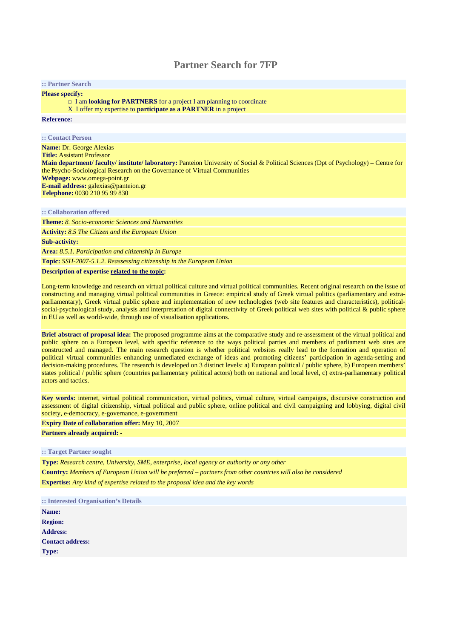## **Partner Search for 7FP**

#### **:: Partner Search**

**Please specify:** 

□ I am **looking for PARTNERS** for a project I am planning to coordinate

XI offer my expertise to **participate as a PARTNER** in a project

#### **Reference:**

#### **:: Contact Person**

**Name:** Dr. George Alexias **Title:** Assistant Professor **Main department/ faculty/ institute/ laboratory:** Panteion University of Social & Political Sciences (Dpt of Psychology) – Centre for the Psycho-Sociological Research on the Governance of Virtual Communities **Webpage:** www.omega-point.gr **E-mail address:** galexias@panteion.gr **Telephone:** 0030 210 95 99 830

## **:: Collaboration offered**

**Theme:** *8. Socio-economic Sciences and Humanities* **Activity:** *8.5 The Citizen and the European Union*

**Sub-activity:** 

**Area:** *8.5.1. Participation and citizenship in Europe*

**Topic:** *SSH-2007-5.1.2. Reassessing citizenship in the European Union*

#### **Description of expertise related to the topic:**

Long-term knowledge and research on virtual political culture and virtual political communities. Recent original research on the issue of constructing and managing virtual political communities in Greece: empirical study of Greek virtual politics (parliamentary and extraparliamentary), Greek virtual public sphere and implementation of new technologies (web site features and characteristics), politicalsocial-psychological study, analysis and interpretation of digital connectivity of Greek political web sites with political & public sphere in EU as well as world-wide, through use of visualisation applications.

**Brief abstract of proposal idea:** The proposed programme aims at the comparative study and re-assessment of the virtual political and public sphere on a European level, with specific reference to the ways political parties and members of parliament web sites are constructed and managed. The main research question is whether political websites really lead to the formation and operation of political virtual communities enhancing unmediated exchange of ideas and promoting citizens' participation in agenda-setting and decision-making procedures. The research is developed on 3 distinct levels: a) European political / public sphere, b) European members' states political / public sphere (countries parliamentary political actors) both on national and local level, c) extra-parliamentary political actors and tactics.

**Key words:** internet, virtual political communication, virtual politics, virtual culture, virtual campaigns, discursive construction and assessment of digital citizenship, virtual political and public sphere, online political and civil campaigning and lobbying, digital civil society, e-democracy, e-governance, e-government

**Expiry Date of collaboration offer:** May 10, 2007

### **Partners already acquired: -**

#### **:: Target Partner sought**

**Type:** *Research centre, University, SME, enterprise, local agency or authority or any other* **Country:** *Members of European Union will be preferred – partners from other countries will also be considered* **Expertise:** *Any kind of expertise related to the proposal idea and the key words*

**:: Interested Organisation's Details Name: Region: Address: Contact address: Type:**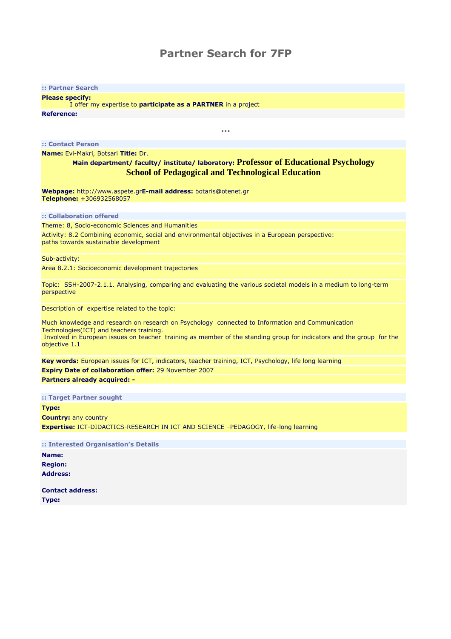## Partner Search for 7FP

#### :: Partner Search

Please specify:

 I offer my expertise to participate as a PARTNER in a project Reference:

:: Contact Person

Name: Evi-Makri, Botsari Title: Dr.

## Main department/ faculty/ institute/ laboratory: **Professor of Educational Psychology School of Pedagogical and Technological Education**

…

Webpage: http://www.aspete.grE-mail address: botaris@otenet.gr Telephone: +306932568057

:: Collaboration offered

Theme: 8, Socio-economic Sciences and Humanities

Activity: 8.2 Combining economic, social and environmental objectives in a European perspective: paths towards sustainable development

Sub-activity:

Area 8.2.1: Socioeconomic development trajectories

Topic: SSH-2007-2.1.1. Analysing, comparing and evaluating the various societal models in a medium to long-term perspective

Description of expertise related to the topic:

Much knowledge and research on research on Psychology connected to Information and Communication Technologies(ICT) and teachers training. Involved in European issues on teacher training as member of the standing group for indicators and the group for the objective 1.1

Key words: European issues for ICT, indicators, teacher training, ICT, Psychology, life long learning Expiry Date of collaboration offer: 29 November 2007 Partners already acquired: -

:: Target Partner sought

Type: Country: any country Expertise: ICT-DIDACTICS-RESEARCH IN ICT AND SCIENCE –PEDAGOGY, life-long learning

:: Interested Organisation's Details Name: Region: Address:

Contact address: Type: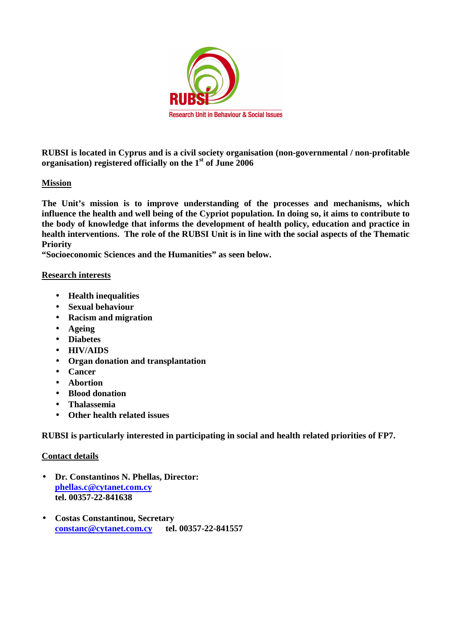

**RUBSI is located in Cyprus and is a civil society organisation (non-governmental / non-profitable organisation) registered officially on the 1st of June 2006** 

## **Mission**

**The Unit's mission is to improve understanding of the processes and mechanisms, which influence the health and well being of the Cypriot population. In doing so, it aims to contribute to the body of knowledge that informs the development of health policy, education and practice in health interventions. The role of the RUBSI Unit is in line with the social aspects of the Thematic Priority** 

**"Socioeconomic Sciences and the Humanities" as seen below.** 

## **Research interests**

- **Health inequalities**
- **Sexual behaviour**
- **Racism and migration**
- **Ageing**
- **Diabetes**
- **HIV/AIDS**
- **Organ donation and transplantation**
- **Cancer**
- **Abortion**
- **Blood donation**
- **Thalassemia**
- **Other health related issues**

**RUBSI is particularly interested in participating in social and health related priorities of FP7.** 

## **Contact details**

- **Dr. Constantinos N. Phellas, Director: phellas.c@cytanet.com.cy tel. 00357-22-841638**
- **Costas Constantinou, Secretary constanc@cytanet.com.cy tel. 00357-22-841557**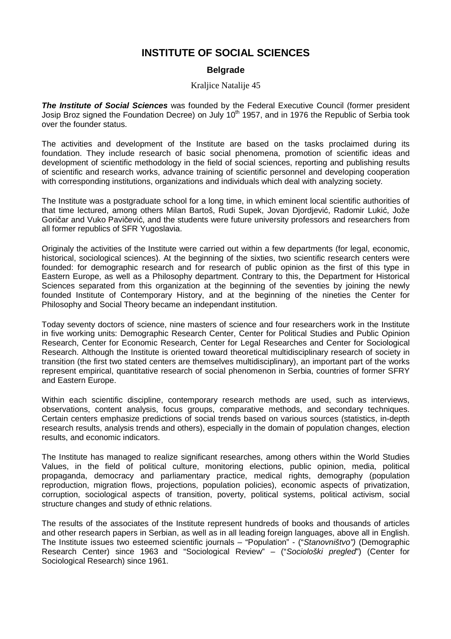## **INSTITUTE OF SOCIAL SCIENCES**

## **Belgrade**

## Kraljice Natalije 45

**The Institute of Social Sciences** was founded by the Federal Executive Council (former president Josip Broz signed the Foundation Decree) on July  $10<sup>th</sup>$  1957, and in 1976 the Republic of Serbia took over the founder status.

The activities and development of the Institute are based on the tasks proclaimed during its foundation. They include research of basic social phenomena, promotion of scientific ideas and development of scientific methodology in the field of social sciences, reporting and publishing results of scientific and research works, advance training of scientific personnel and developing cooperation with corresponding institutions, organizations and individuals which deal with analyzing society.

The Institute was a postgraduate school for a long time, in which eminent local scientific authorities of that time lectured, among others Milan Bartoš, Rudi Supek, Jovan Djordjević, Radomir Lukić, Jože Goričar and Vuko Pavičević, and the students were future university professors and researchers from all former republics of SFR Yugoslavia.

Originaly the activities of the Institute were carried out within a few departments (for legal, economic, historical, sociological sciences). At the beginning of the sixties, two scientific research centers were founded: for demographic research and for research of public opinion as the first of this type in Eastern Europe, as well as a Philosophy department. Contrary to this, the Department for Historical Sciences separated from this organization at the beginning of the seventies by joining the newly founded Institute of Contemporary History, and at the beginning of the nineties the Center for Philosophy and Social Theory became an independant institution.

Today seventy doctors of science, nine masters of science and four researchers work in the Institute in five working units: Demographic Research Center, Center for Political Studies and Public Opinion Research, Center for Economic Research, Center for Legal Researches and Center for Sociological Research. Although the Institute is oriented toward theoretical multidisciplinary research of society in transition (the first two stated centers are themselves multidisciplinary), an important part of the works represent empirical, quantitative research of social phenomenon in Serbia, countries of former SFRY and Eastern Europe.

Within each scientific discipline, contemporary research methods are used, such as interviews, observations, content analysis, focus groups, comparative methods, and secondary techniques. Certain centers emphasize predictions of social trends based on various sources (statistics, in-depth research results, analysis trends and others), especially in the domain of population changes, election results, and economic indicators.

The Institute has managed to realize significant researches, among others within the World Studies Values, in the field of political culture, monitoring elections, public opinion, media, political propaganda, democracy and parliamentary practice, medical rights, demography (population reproduction, migration flows, projections, population policies), economic aspects of privatization, corruption, sociological aspects of transition, poverty, political systems, political activism, social structure changes and study of ethnic relations.

The results of the associates of the Institute represent hundreds of books and thousands of articles and other research papers in Serbian, as well as in all leading foreign languages, above all in English. The Institute issues two esteemed scientific journals – "Population" - ("Stanovništvo") (Demographic Research Center) since 1963 and "Sociological Review" – ("Sociološki pregled") (Center for Sociological Research) since 1961.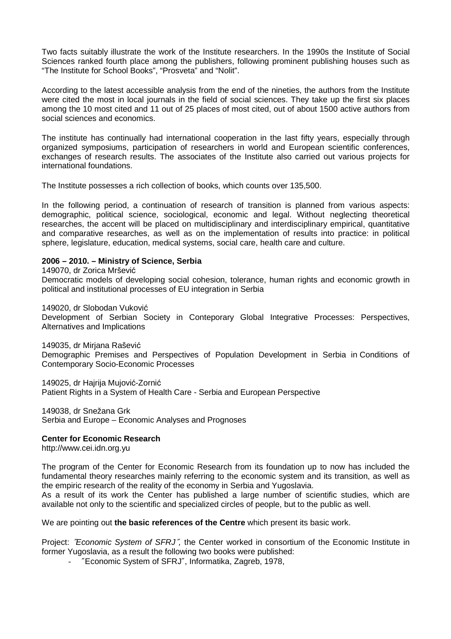Two facts suitably illustrate the work of the Institute researchers. In the 1990s the Institute of Social Sciences ranked fourth place among the publishers, following prominent publishing houses such as "The Institute for School Books", "Prosveta" and "Nolit".

According to the latest accessible analysis from the end of the nineties, the authors from the Institute were cited the most in local journals in the field of social sciences. They take up the first six places among the 10 most cited and 11 out of 25 places of most cited, out of about 1500 active authors from social sciences and economics.

The institute has continually had international cooperation in the last fifty years, especially through organized symposiums, participation of researchers in world and European scientific conferences, exchanges of research results. The associates of the Institute also carried out various projects for international foundations.

The Institute possesses a rich collection of books, which counts over 135,500.

In the following period, a continuation of research of transition is planned from various aspects: demographic, political science, sociological, economic and legal. Without neglecting theoretical researches, the accent will be placed on multidisciplinary and interdisciplinary empirical, quantitative and comparative researches, as well as on the implementation of results into practice: in political sphere, legislature, education, medical systems, social care, health care and culture.

## **2006 – 2010. – Ministry of Science, Serbia**

149070, dr Zorica Mršević

Democratic models of developing social cohesion, tolerance, human rights and economic growth in political and institutional processes of EU integration in Serbia

149020, dr Slobodan Vuković

Development of Serbian Society in Conteporary Global Integrative Processes: Perspectives, Alternatives and Implications

149035, dr Mirjana Rašević Demographic Premises and Perspectives of Population Development in Serbia in Conditions of Contemporary Socio-Economic Processes

149025, dr Hajrija Mujović-Zornić Patient Rights in a System of Health Care - Serbia and European Perspective

149038, dr Snežana Grk Serbia and Europe – Economic Analyses and Prognoses

## **Center for Economic Research**

http://www.cei.idn.org.yu

The program of the Center for Economic Research from its foundation up to now has included the fundamental theory researches mainly referring to the economic system and its transition, as well as the empiric research of the reality of the economy in Serbia and Yugoslavia.

As a result of its work the Center has published a large number of scientific studies, which are available not only to the scientific and specialized circles of people, but to the public as well.

We are pointing out **the basic references of the Centre** which present its basic work.

Project: "Economic System of SFRJ", the Center worked in consortium of the Economic Institute in former Yugoslavia, as a result the following two books were published:

- ″Economic System of SFRJ″, Informatika, Zagreb, 1978,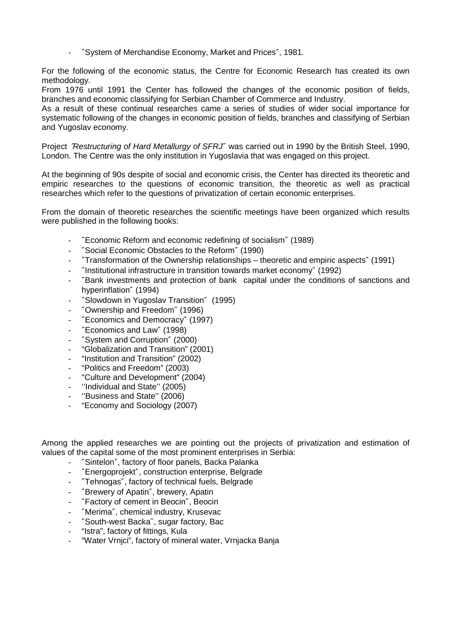- ″System of Merchandise Economy, Market and Prices″, 1981.

For the following of the economic status, the Centre for Economic Research has created its own methodology.

From 1976 until 1991 the Center has followed the changes of the economic position of fields, branches and economic classifying for Serbian Chamber of Commerce and Industry.

As a result of these continual researches came a series of studies of wider social importance for systematic following of the changes in economic position of fields, branches and classifying of Serbian and Yugoslav economy.

Project "Restructuring of Hard Metallurgy of SFRJ" was carried out in 1990 by the British Steel, 1990, London. The Centre was the only institution in Yugoslavia that was engaged on this project.

At the beginning of 90s despite of social and economic crisis, the Center has directed its theoretic and empiric researches to the questions of economic transition, the theoretic as well as practical researches which refer to the questions of privatization of certain economic enterprises.

From the domain of theoretic researches the scientific meetings have been organized which results were published in the following books:

- ″Economic Reform and economic redefining of socialism″ (1989)
- ″Social Economic Obstacles to the Reform″ (1990)
- ″Transformation of the Ownership relationships theoretic and empiric aspects″ (1991)
- ″Institutional infrastructure in transition towards market economy″ (1992)
- ″Bank investments and protection of bank capital under the conditions of sanctions and hyperinflation″ (1994)
- ″Slowdown in Yugoslav Transition″ (1995)
- ″Ownership and Freedom″ (1996)
- ″Economics and Democracy″ (1997)
- ″Economics and Law″ (1998)
- ″System and Corruption″ (2000)
- "Globalization and Transition" (2001)
- "Institution and Transition" (2002)
- "Politics and Freedom" (2003)
- "Culture and Development" (2004)
- ''Individual and State'' (2005)
- "Business and State" (2006)
- "Economy and Sociology (2007)

Among the applied researches we are pointing out the projects of privatization and estimation of values of the capital some of the most prominent enterprises in Serbia:

- "Sintelon", factory of floor panels, Backa Palanka
- ″Energoprojekt″, construction enterprise, Belgrade
- "Tehnogas", factory of technical fuels, Belgrade
- ″Brewery of Apatin″, brewery, Apatin
- ″Factory of cement in Beocin″, Beocin
- "Merima", chemical industry, Krusevac
- ″South-west Backa″, sugar factory, Bac
- "Istra", factory of fittings, Kula
- "Water Vrnjci", factory of mineral water, Vrnjacka Banja